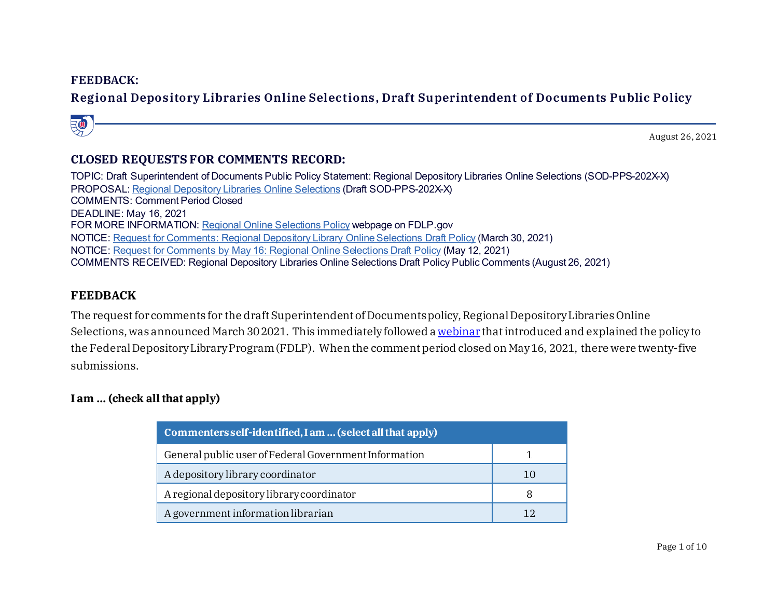#### **FEEDBACK:**

# **Regional Depository Libraries Online Selections, Draft Superintendent of Documents Public Policy**



## **CLOSED REQUESTS FOR COMMENTS RECORD:**

TOPIC: Draft Superintendent of Documents Public Policy Statement: Regional Depository Libraries Online Selections (SOD-PPS-202X-X) PROPOSAL: [Regional Depository Libraries Online Selections](https://www.fdlp.gov/file-repository/about-the-fdlp/policies/superintendent-of-documents-public-policies/4583-superintendent-of-documents-draft-public-policy-statement-regional-depository-libraries-online-selections) (Draft SOD-PPS-202X-X) COMMENTS: Comment Period Closed DEADLINE: May 16, 2021 FOR MORE INFORMATION: [Regional Online Selections Policy](https://www.fdlp.gov/about-fdlp/18-supdocs/4958-regional-online-selections-policy) webpage on FDLP.gov NOTICE: [Request for Comments: Regional Depository Library Online Selections Draft Policy](https://www.fdlp.gov/news-and-events/4959-request-for-comments-regional-depository-library-online-selections-draft-policy) (March 30, 2021) NOTICE: [Request for Comments by May 16: Regional Online Selections Draft Policy](https://www.fdlp.gov/news-and-events/5007-request-for-comments-by-may-16-regional-online-selections-draft-policy) (May 12, 2021) COMMENTS RECEIVED: Regional Depository Libraries Online Selections Draft Policy Public Comments (August 26, 2021)

#### **FEEDBACK**

The request for comments for the draft Superintendent of Documents policy, Regional Depository Libraries Online Selections, was announced March 30 2021. This immediately followed [a webinar](https://www.fdlp.gov/about-fdlp/415-fdlp-academy/academy-webinars/4948-draft-policy-regional-depository-libraries-online-selections) that introduced and explained the policy to the Federal Depository Library Program (FDLP). When the comment period closed on May 16, 2021, there were twenty-five submissions.

## **I am ... (check all that apply)**

| Commenters self-identified, I am  (select all that apply) |    |  |  |  |
|-----------------------------------------------------------|----|--|--|--|
| General public user of Federal Government Information     |    |  |  |  |
| A depository library coordinator                          | 10 |  |  |  |
| A regional depository library coordinator                 | 8  |  |  |  |
| A government information librarian                        |    |  |  |  |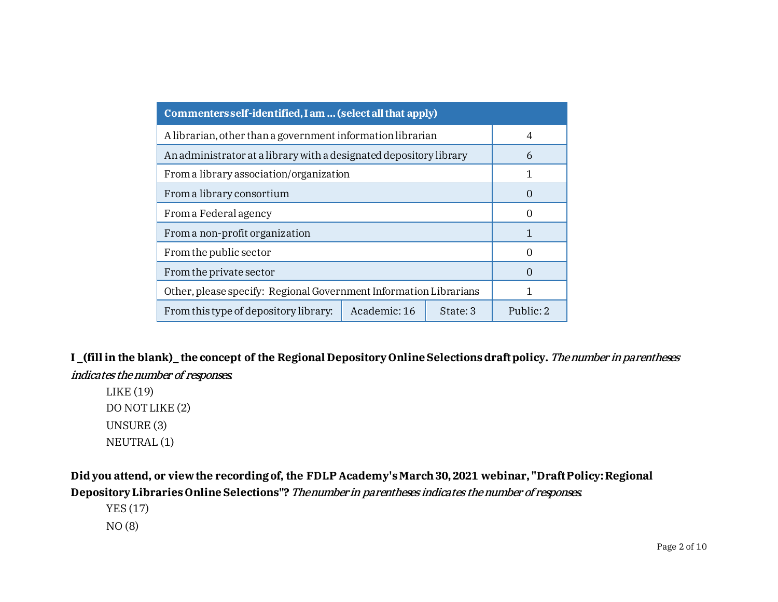| Commenters self-identified, I am  (select all that apply)          |                   |  |  |  |
|--------------------------------------------------------------------|-------------------|--|--|--|
| A librarian, other than a government information librarian         | 4                 |  |  |  |
| An administrator at a library with a designated depository library | 6                 |  |  |  |
| From a library association/organization                            |                   |  |  |  |
| From a library consortium                                          | ( )               |  |  |  |
| From a Federal agency                                              | $\left( \right)$  |  |  |  |
| From a non-profit organization                                     |                   |  |  |  |
| From the public sector                                             | $\mathcal{L}$     |  |  |  |
| From the private sector                                            | $\mathbf{\Omega}$ |  |  |  |
| Other, please specify: Regional Government Information Librarians  |                   |  |  |  |
| From this type of depository library:                              | Public: 2         |  |  |  |

**I \_(fill in the blank)\_ the concept of the Regional Depository Online Selections draft policy.**The number in parentheses indicates the number of responses.

LIKE (19) DO NOT LIKE (2) UNSURE (3) NEUTRAL (1)

**Did you attend, or view the recording of, the FDLP Academy's March 30, 2021 webinar, "Draft Policy: Regional Depository Libraries Online Selections"?**The number in parentheses indicates the number of responses.

YES (17)

NO (8)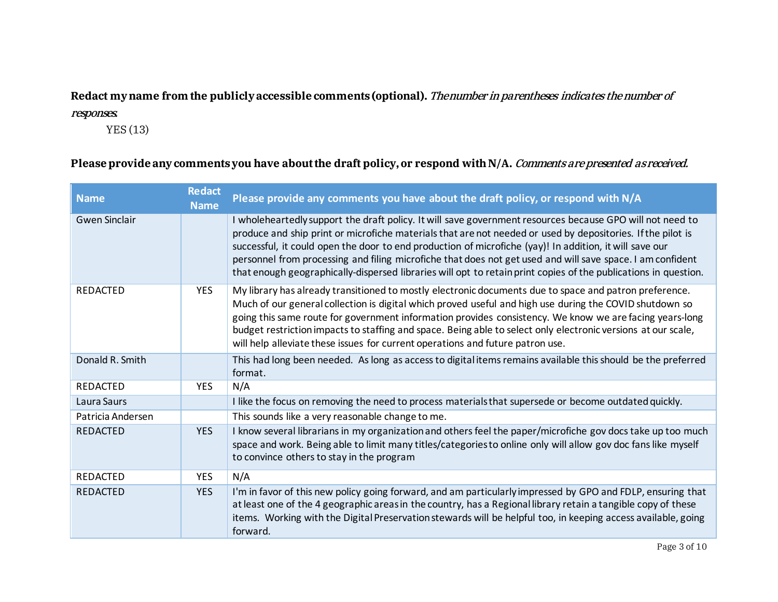# Redact my name from the publicly accessible comments (optional). The number in parentheses indicates the number of

#### responses.

YES (13)

## Please provide any comments you have about the draft policy, or respond with N/A. *Comments are presented as received.*

| <b>Name</b>          | <b>Redact</b><br><b>Name</b> | Please provide any comments you have about the draft policy, or respond with N/A                                                                                                                                                                                                                                                                                                                                                                                                                                                                                     |
|----------------------|------------------------------|----------------------------------------------------------------------------------------------------------------------------------------------------------------------------------------------------------------------------------------------------------------------------------------------------------------------------------------------------------------------------------------------------------------------------------------------------------------------------------------------------------------------------------------------------------------------|
| <b>Gwen Sinclair</b> |                              | I wholeheartedly support the draft policy. It will save government resources because GPO will not need to<br>produce and ship print or microfiche materials that are not needed or used by depositories. If the pilot is<br>successful, it could open the door to end production of microfiche (yay)! In addition, it will save our<br>personnel from processing and filing microfiche that does not get used and will save space. I am confident<br>that enough geographically-dispersed libraries will opt to retain print copies of the publications in question. |
| <b>REDACTED</b>      | <b>YES</b>                   | My library has already transitioned to mostly electronic documents due to space and patron preference.<br>Much of our general collection is digital which proved useful and high use during the COVID shutdown so<br>going this same route for government information provides consistency. We know we are facing years-long<br>budget restriction impacts to staffing and space. Being able to select only electronic versions at our scale,<br>will help alleviate these issues for current operations and future patron use.                                      |
| Donald R. Smith      |                              | This had long been needed. As long as access to digital items remains available this should be the preferred<br>format.                                                                                                                                                                                                                                                                                                                                                                                                                                              |
| <b>REDACTED</b>      | <b>YES</b>                   | N/A                                                                                                                                                                                                                                                                                                                                                                                                                                                                                                                                                                  |
| Laura Saurs          |                              | I like the focus on removing the need to process materials that supersede or become outdated quickly.                                                                                                                                                                                                                                                                                                                                                                                                                                                                |
| Patricia Andersen    |                              | This sounds like a very reasonable change to me.                                                                                                                                                                                                                                                                                                                                                                                                                                                                                                                     |
| <b>REDACTED</b>      | <b>YES</b>                   | I know several librarians in my organization and others feel the paper/microfiche gov docs take up too much<br>space and work. Being able to limit many titles/categories to online only will allow gov doc fans like myself<br>to convince others to stay in the program                                                                                                                                                                                                                                                                                            |
| <b>REDACTED</b>      | <b>YES</b>                   | N/A                                                                                                                                                                                                                                                                                                                                                                                                                                                                                                                                                                  |
| <b>REDACTED</b>      | <b>YES</b>                   | I'm in favor of this new policy going forward, and am particularly impressed by GPO and FDLP, ensuring that<br>at least one of the 4 geographic areas in the country, has a Regional library retain a tangible copy of these<br>items. Working with the Digital Preservation stewards will be helpful too, in keeping access available, going<br>forward.                                                                                                                                                                                                            |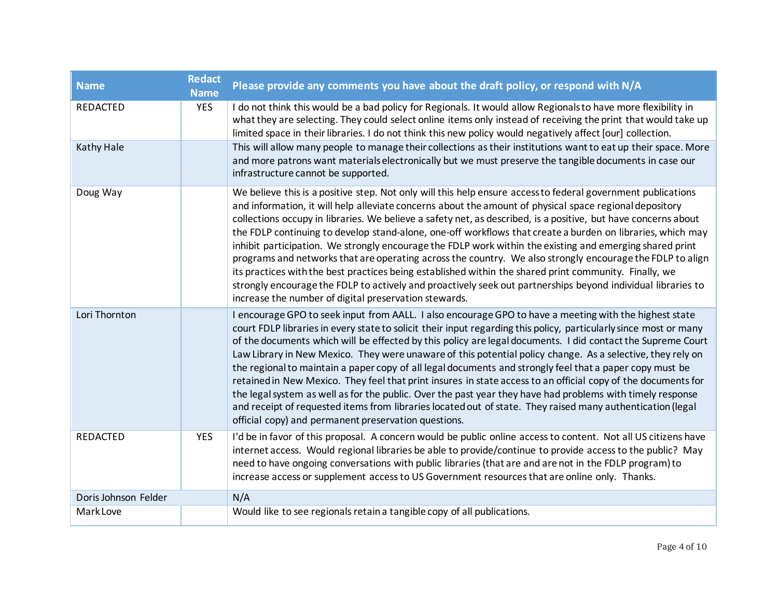| <b>Name</b>          | <b>Redact</b><br><b>Name</b> | Please provide any comments you have about the draft policy, or respond with N/A                                                                                                                                                                                                                                                                                                                                                                                                                                                                                                                                                                                                                                                                                                                                                                                                                                                                                          |
|----------------------|------------------------------|---------------------------------------------------------------------------------------------------------------------------------------------------------------------------------------------------------------------------------------------------------------------------------------------------------------------------------------------------------------------------------------------------------------------------------------------------------------------------------------------------------------------------------------------------------------------------------------------------------------------------------------------------------------------------------------------------------------------------------------------------------------------------------------------------------------------------------------------------------------------------------------------------------------------------------------------------------------------------|
| <b>REDACTED</b>      | <b>YES</b>                   | I do not think this would be a bad policy for Regionals. It would allow Regionals to have more flexibility in<br>what they are selecting. They could select online items only instead of receiving the print that would take up<br>limited space in their libraries. I do not think this new policy would negatively affect [our] collection.                                                                                                                                                                                                                                                                                                                                                                                                                                                                                                                                                                                                                             |
| Kathy Hale           |                              | This will allow many people to manage their collections as their institutions want to eat up their space. More<br>and more patrons want materials electronically but we must preserve the tangible documents in case our<br>infrastructure cannot be supported.                                                                                                                                                                                                                                                                                                                                                                                                                                                                                                                                                                                                                                                                                                           |
| Doug Way             |                              | We believe this is a positive step. Not only will this help ensure access to federal government publications<br>and information, it will help alleviate concerns about the amount of physical space regional depository<br>collections occupy in libraries. We believe a safety net, as described, is a positive, but have concerns about<br>the FDLP continuing to develop stand-alone, one-off workflows that create a burden on libraries, which may<br>inhibit participation. We strongly encourage the FDLP work within the existing and emerging shared print<br>programs and networks that are operating across the country. We also strongly encourage the FDLP to align<br>its practices with the best practices being established within the shared print community. Finally, we<br>strongly encourage the FDLP to actively and proactively seek out partnerships beyond individual libraries to<br>increase the number of digital preservation stewards.       |
| Lori Thornton        |                              | I encourage GPO to seek input from AALL. I also encourage GPO to have a meeting with the highest state<br>court FDLP libraries in every state to solicit their input regarding this policy, particularly since most or many<br>of the documents which will be effected by this policy are legal documents. I did contact the Supreme Court<br>Law Library in New Mexico. They were unaware of this potential policy change. As a selective, they rely on<br>the regional to maintain a paper copy of all legal documents and strongly feel that a paper copy must be<br>retained in New Mexico. They feel that print insures in state access to an official copy of the documents for<br>the legal system as well as for the public. Over the past year they have had problems with timely response<br>and receipt of requested items from libraries located out of state. They raised many authentication (legal<br>official copy) and permanent preservation questions. |
| <b>REDACTED</b>      | <b>YES</b>                   | I'd be in favor of this proposal. A concern would be public online access to content. Not all US citizens have<br>internet access. Would regional libraries be able to provide/continue to provide access to the public? May<br>need to have ongoing conversations with public libraries (that are and are not in the FDLP program) to<br>increase access or supplement access to US Government resources that are online only. Thanks.                                                                                                                                                                                                                                                                                                                                                                                                                                                                                                                                   |
| Doris Johnson Felder |                              | N/A                                                                                                                                                                                                                                                                                                                                                                                                                                                                                                                                                                                                                                                                                                                                                                                                                                                                                                                                                                       |
| Mark Love            |                              | Would like to see regionals retain a tangible copy of all publications.                                                                                                                                                                                                                                                                                                                                                                                                                                                                                                                                                                                                                                                                                                                                                                                                                                                                                                   |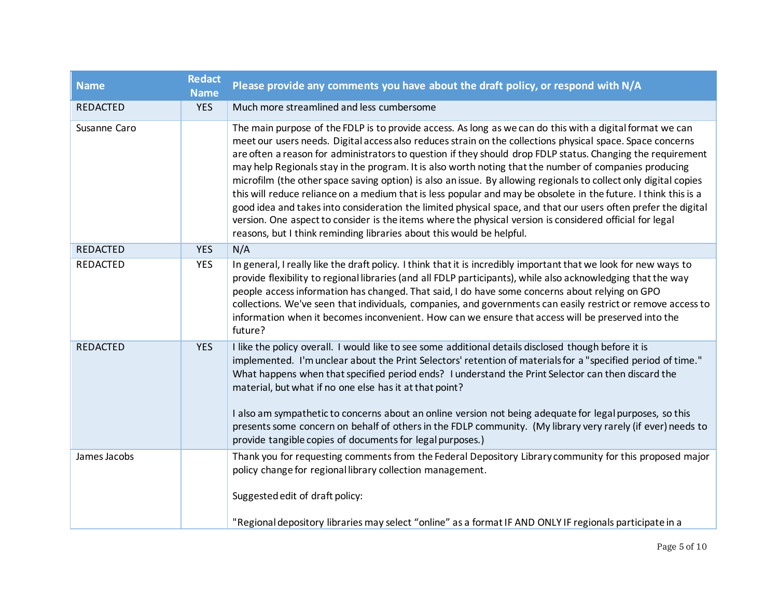| <b>Name</b>     | <b>Redact</b><br><b>Name</b> | Please provide any comments you have about the draft policy, or respond with N/A                                                                                                                                                                                                                                                                                                                                                                                                                                                                                                                                                                                                                                                                                                                                                                                                                                                                                                               |
|-----------------|------------------------------|------------------------------------------------------------------------------------------------------------------------------------------------------------------------------------------------------------------------------------------------------------------------------------------------------------------------------------------------------------------------------------------------------------------------------------------------------------------------------------------------------------------------------------------------------------------------------------------------------------------------------------------------------------------------------------------------------------------------------------------------------------------------------------------------------------------------------------------------------------------------------------------------------------------------------------------------------------------------------------------------|
| <b>REDACTED</b> | <b>YES</b>                   | Much more streamlined and less cumbersome                                                                                                                                                                                                                                                                                                                                                                                                                                                                                                                                                                                                                                                                                                                                                                                                                                                                                                                                                      |
| Susanne Caro    |                              | The main purpose of the FDLP is to provide access. As long as we can do this with a digital format we can<br>meet our users needs. Digital access also reduces strain on the collections physical space. Space concerns<br>are often a reason for administrators to question if they should drop FDLP status. Changing the requirement<br>may help Regionals stay in the program. It is also worth noting that the number of companies producing<br>microfilm (the other space saving option) is also an issue. By allowing regionals to collect only digital copies<br>this will reduce reliance on a medium that is less popular and may be obsolete in the future. I think this is a<br>good idea and takes into consideration the limited physical space, and that our users often prefer the digital<br>version. One aspect to consider is the items where the physical version is considered official for legal<br>reasons, but I think reminding libraries about this would be helpful. |
| <b>REDACTED</b> | <b>YES</b>                   | N/A                                                                                                                                                                                                                                                                                                                                                                                                                                                                                                                                                                                                                                                                                                                                                                                                                                                                                                                                                                                            |
| REDACTED        | <b>YES</b>                   | In general, I really like the draft policy. I think that it is incredibly important that we look for new ways to<br>provide flexibility to regional libraries (and all FDLP participants), while also acknowledging that the way<br>people access information has changed. That said, I do have some concerns about relying on GPO<br>collections. We've seen that individuals, companies, and governments can easily restrict or remove access to<br>information when it becomes inconvenient. How can we ensure that access will be preserved into the<br>future?                                                                                                                                                                                                                                                                                                                                                                                                                            |
| <b>REDACTED</b> | <b>YES</b>                   | I like the policy overall. I would like to see some additional details disclosed though before it is<br>implemented. I'm unclear about the Print Selectors' retention of materials for a "specified period of time."<br>What happens when that specified period ends? I understand the Print Selector can then discard the<br>material, but what if no one else has it at that point?<br>I also am sympathetic to concerns about an online version not being adequate for legal purposes, so this<br>presents some concern on behalf of others in the FDLP community. (My library very rarely (if ever) needs to<br>provide tangible copies of documents for legal purposes.)                                                                                                                                                                                                                                                                                                                  |
| James Jacobs    |                              | Thank you for requesting comments from the Federal Depository Library community for this proposed major<br>policy change for regional library collection management.<br>Suggested edit of draft policy:                                                                                                                                                                                                                                                                                                                                                                                                                                                                                                                                                                                                                                                                                                                                                                                        |
|                 |                              | "Regional depository libraries may select "online" as a format IF AND ONLY IF regionals participate in a                                                                                                                                                                                                                                                                                                                                                                                                                                                                                                                                                                                                                                                                                                                                                                                                                                                                                       |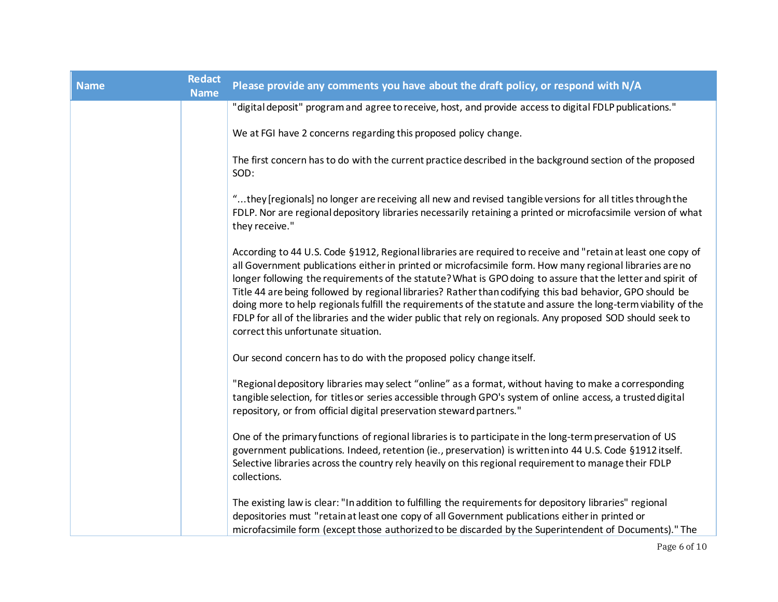| <b>Name</b> | <b>Redact</b><br><b>Name</b> | Please provide any comments you have about the draft policy, or respond with N/A                                                                                                                                                                                                                                                                                                                                                                                                                                                                                                                                                                                                                                            |
|-------------|------------------------------|-----------------------------------------------------------------------------------------------------------------------------------------------------------------------------------------------------------------------------------------------------------------------------------------------------------------------------------------------------------------------------------------------------------------------------------------------------------------------------------------------------------------------------------------------------------------------------------------------------------------------------------------------------------------------------------------------------------------------------|
|             |                              | "digital deposit" program and agree to receive, host, and provide access to digital FDLP publications."                                                                                                                                                                                                                                                                                                                                                                                                                                                                                                                                                                                                                     |
|             |                              | We at FGI have 2 concerns regarding this proposed policy change.                                                                                                                                                                                                                                                                                                                                                                                                                                                                                                                                                                                                                                                            |
|             |                              | The first concern has to do with the current practice described in the background section of the proposed<br>SOD:                                                                                                                                                                                                                                                                                                                                                                                                                                                                                                                                                                                                           |
|             |                              | they [regionals] no longer are receiving all new and revised tangible versions for all titles through the<br>FDLP. Nor are regional depository libraries necessarily retaining a printed or microfacsimile version of what<br>they receive."                                                                                                                                                                                                                                                                                                                                                                                                                                                                                |
|             |                              | According to 44 U.S. Code §1912, Regional libraries are required to receive and "retain at least one copy of<br>all Government publications either in printed or microfacsimile form. How many regional libraries are no<br>longer following the requirements of the statute? What is GPO doing to assure that the letter and spirit of<br>Title 44 are being followed by regional libraries? Rather than codifying this bad behavior, GPO should be<br>doing more to help regionals fulfill the requirements of the statute and assure the long-term viability of the<br>FDLP for all of the libraries and the wider public that rely on regionals. Any proposed SOD should seek to<br>correct this unfortunate situation. |
|             |                              | Our second concern has to do with the proposed policy change itself.                                                                                                                                                                                                                                                                                                                                                                                                                                                                                                                                                                                                                                                        |
|             |                              | "Regional depository libraries may select "online" as a format, without having to make a corresponding<br>tangible selection, for titles or series accessible through GPO's system of online access, a trusted digital<br>repository, or from official digital preservation steward partners."                                                                                                                                                                                                                                                                                                                                                                                                                              |
|             |                              | One of the primary functions of regional libraries is to participate in the long-term preservation of US<br>government publications. Indeed, retention (ie., preservation) is written into 44 U.S. Code §1912 itself.<br>Selective libraries across the country rely heavily on this regional requirement to manage their FDLP<br>collections.                                                                                                                                                                                                                                                                                                                                                                              |
|             |                              | The existing law is clear: "In addition to fulfilling the requirements for depository libraries" regional<br>depositories must "retain at least one copy of all Government publications either in printed or<br>microfacsimile form (except those authorized to be discarded by the Superintendent of Documents)." The                                                                                                                                                                                                                                                                                                                                                                                                      |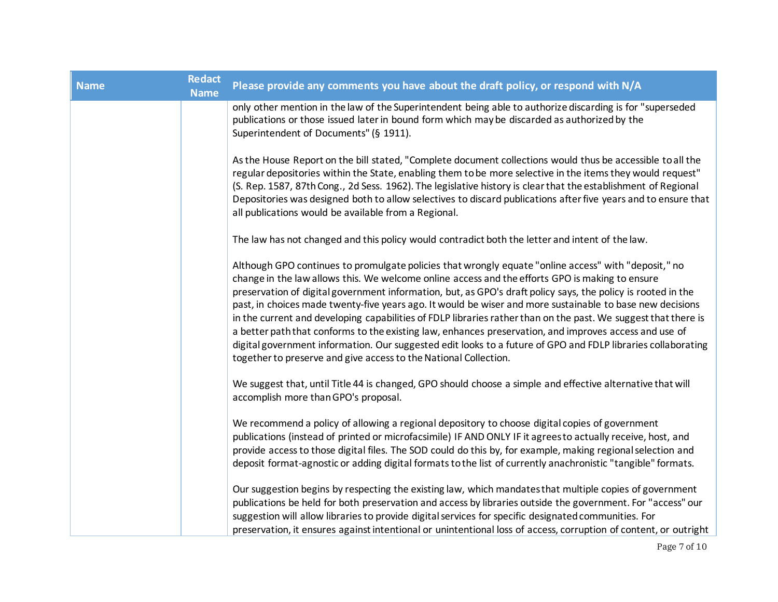| <b>Name</b> | <b>Redact</b><br><b>Name</b> | Please provide any comments you have about the draft policy, or respond with N/A                                                                                                                                                                                                                                                                                                                                                                                                                                                                                                                                                                                                                                                                                                                                                                     |
|-------------|------------------------------|------------------------------------------------------------------------------------------------------------------------------------------------------------------------------------------------------------------------------------------------------------------------------------------------------------------------------------------------------------------------------------------------------------------------------------------------------------------------------------------------------------------------------------------------------------------------------------------------------------------------------------------------------------------------------------------------------------------------------------------------------------------------------------------------------------------------------------------------------|
|             |                              | only other mention in the law of the Superintendent being able to authorize discarding is for "superseded<br>publications or those issued later in bound form which may be discarded as authorized by the<br>Superintendent of Documents" (§ 1911).                                                                                                                                                                                                                                                                                                                                                                                                                                                                                                                                                                                                  |
|             |                              | As the House Report on the bill stated, "Complete document collections would thus be accessible to all the<br>regular depositories within the State, enabling them to be more selective in the items they would request"<br>(S. Rep. 1587, 87th Cong., 2d Sess. 1962). The legislative history is clear that the establishment of Regional<br>Depositories was designed both to allow selectives to discard publications after five years and to ensure that<br>all publications would be available from a Regional.                                                                                                                                                                                                                                                                                                                                 |
|             |                              | The law has not changed and this policy would contradict both the letter and intent of the law.                                                                                                                                                                                                                                                                                                                                                                                                                                                                                                                                                                                                                                                                                                                                                      |
|             |                              | Although GPO continues to promulgate policies that wrongly equate "online access" with "deposit," no<br>change in the law allows this. We welcome online access and the efforts GPO is making to ensure<br>preservation of digital government information, but, as GPO's draft policy says, the policy is rooted in the<br>past, in choices made twenty-five years ago. It would be wiser and more sustainable to base new decisions<br>in the current and developing capabilities of FDLP libraries rather than on the past. We suggest that there is<br>a better path that conforms to the existing law, enhances preservation, and improves access and use of<br>digital government information. Our suggested edit looks to a future of GPO and FDLP libraries collaborating<br>together to preserve and give access to the National Collection. |
|             |                              | We suggest that, until Title 44 is changed, GPO should choose a simple and effective alternative that will<br>accomplish more than GPO's proposal.                                                                                                                                                                                                                                                                                                                                                                                                                                                                                                                                                                                                                                                                                                   |
|             |                              | We recommend a policy of allowing a regional depository to choose digital copies of government<br>publications (instead of printed or microfacsimile) IF AND ONLY IF it agrees to actually receive, host, and<br>provide access to those digital files. The SOD could do this by, for example, making regional selection and<br>deposit format-agnostic or adding digital formats to the list of currently anachronistic "tangible" formats.                                                                                                                                                                                                                                                                                                                                                                                                         |
|             |                              | Our suggestion begins by respecting the existing law, which mandates that multiple copies of government<br>publications be held for both preservation and access by libraries outside the government. For "access" our<br>suggestion will allow libraries to provide digital services for specific designated communities. For<br>preservation, it ensures against intentional or unintentional loss of access, corruption of content, or outright                                                                                                                                                                                                                                                                                                                                                                                                   |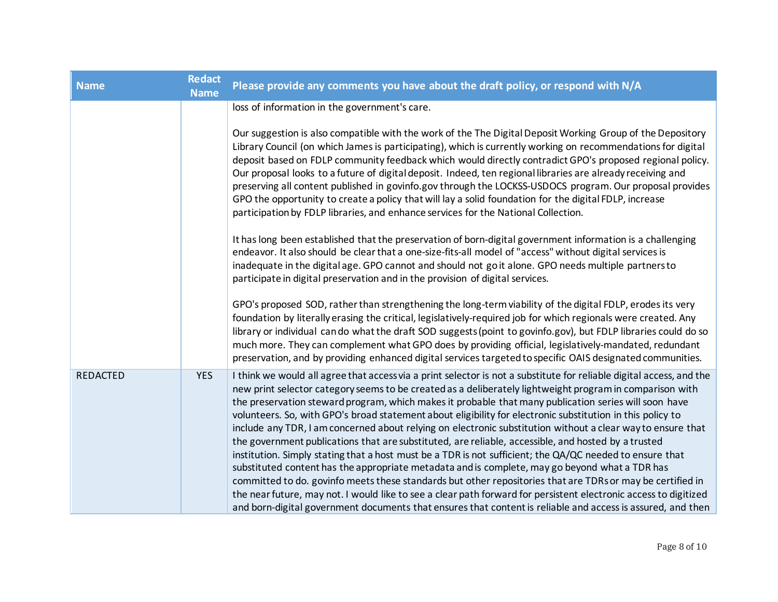| <b>Name</b>     | Redact<br><b>Name</b> | Please provide any comments you have about the draft policy, or respond with N/A                                                                                                                                                                                                                                                                                                                                                                                                                                                                                                                                                                                                                                                                                                                                                                                                                                                                                                                                                                                                                                                                                                                                                             |
|-----------------|-----------------------|----------------------------------------------------------------------------------------------------------------------------------------------------------------------------------------------------------------------------------------------------------------------------------------------------------------------------------------------------------------------------------------------------------------------------------------------------------------------------------------------------------------------------------------------------------------------------------------------------------------------------------------------------------------------------------------------------------------------------------------------------------------------------------------------------------------------------------------------------------------------------------------------------------------------------------------------------------------------------------------------------------------------------------------------------------------------------------------------------------------------------------------------------------------------------------------------------------------------------------------------|
|                 |                       | loss of information in the government's care.                                                                                                                                                                                                                                                                                                                                                                                                                                                                                                                                                                                                                                                                                                                                                                                                                                                                                                                                                                                                                                                                                                                                                                                                |
|                 |                       | Our suggestion is also compatible with the work of the The Digital Deposit Working Group of the Depository<br>Library Council (on which James is participating), which is currently working on recommendations for digital<br>deposit based on FDLP community feedback which would directly contradict GPO's proposed regional policy.<br>Our proposal looks to a future of digital deposit. Indeed, ten regional libraries are already receiving and<br>preserving all content published in govinfo.gov through the LOCKSS-USDOCS program. Our proposal provides<br>GPO the opportunity to create a policy that will lay a solid foundation for the digital FDLP, increase<br>participation by FDLP libraries, and enhance services for the National Collection.                                                                                                                                                                                                                                                                                                                                                                                                                                                                            |
|                 |                       | It has long been established that the preservation of born-digital government information is a challenging<br>endeavor. It also should be clear that a one-size-fits-all model of "access" without digital services is<br>inadequate in the digital age. GPO cannot and should not go it alone. GPO needs multiple partners to<br>participate in digital preservation and in the provision of digital services.                                                                                                                                                                                                                                                                                                                                                                                                                                                                                                                                                                                                                                                                                                                                                                                                                              |
|                 |                       | GPO's proposed SOD, rather than strengthening the long-term viability of the digital FDLP, erodes its very<br>foundation by literally erasing the critical, legislatively-required job for which regionals were created. Any<br>library or individual can do what the draft SOD suggests (point to govinfo.gov), but FDLP libraries could do so<br>much more. They can complement what GPO does by providing official, legislatively-mandated, redundant<br>preservation, and by providing enhanced digital services targeted to specific OAIS designated communities.                                                                                                                                                                                                                                                                                                                                                                                                                                                                                                                                                                                                                                                                       |
| <b>REDACTED</b> | <b>YES</b>            | I think we would all agree that access via a print selector is not a substitute for reliable digital access, and the<br>new print selector category seems to be created as a deliberately lightweight program in comparison with<br>the preservation steward program, which makes it probable that many publication series will soon have<br>volunteers. So, with GPO's broad statement about eligibility for electronic substitution in this policy to<br>include any TDR, I am concerned about relying on electronic substitution without a clear way to ensure that<br>the government publications that are substituted, are reliable, accessible, and hosted by a trusted<br>institution. Simply stating that a host must be a TDR is not sufficient; the QA/QC needed to ensure that<br>substituted content has the appropriate metadata and is complete, may go beyond what a TDR has<br>committed to do. govinfo meets these standards but other repositories that are TDRs or may be certified in<br>the near future, may not. I would like to see a clear path forward for persistent electronic access to digitized<br>and born-digital government documents that ensures that content is reliable and access is assured, and then |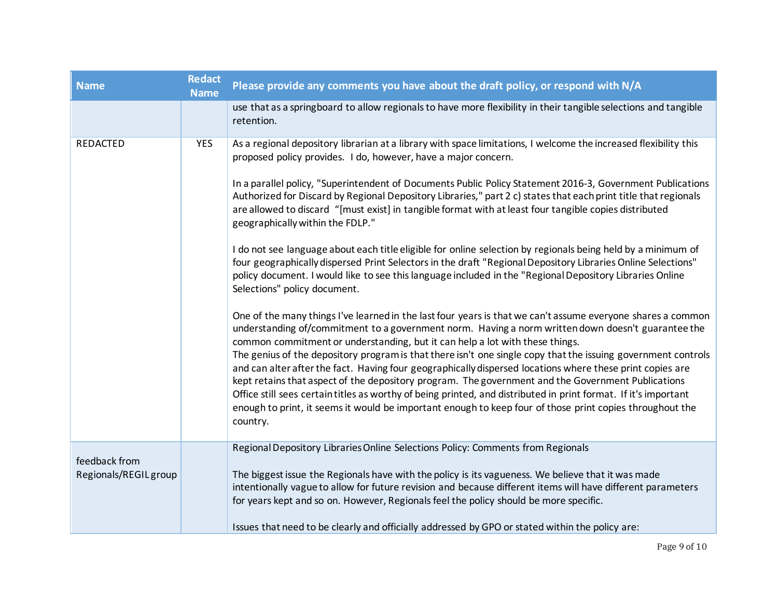| <b>Name</b>           | <b>Redact</b><br><b>Name</b> | Please provide any comments you have about the draft policy, or respond with N/A                                                                                                                                                                                                                                                                                                                                                                                                                                                                                            |
|-----------------------|------------------------------|-----------------------------------------------------------------------------------------------------------------------------------------------------------------------------------------------------------------------------------------------------------------------------------------------------------------------------------------------------------------------------------------------------------------------------------------------------------------------------------------------------------------------------------------------------------------------------|
|                       |                              | use that as a springboard to allow regionals to have more flexibility in their tangible selections and tangible<br>retention.                                                                                                                                                                                                                                                                                                                                                                                                                                               |
| <b>REDACTED</b>       | <b>YES</b>                   | As a regional depository librarian at a library with space limitations, I welcome the increased flexibility this<br>proposed policy provides. I do, however, have a major concern.<br>In a parallel policy, "Superintendent of Documents Public Policy Statement 2016-3, Government Publications<br>Authorized for Discard by Regional Depository Libraries," part 2 c) states that each print title that regionals                                                                                                                                                         |
|                       |                              | are allowed to discard "[must exist] in tangible format with at least four tangible copies distributed<br>geographically within the FDLP."                                                                                                                                                                                                                                                                                                                                                                                                                                  |
|                       |                              | I do not see language about each title eligible for online selection by regionals being held by a minimum of<br>four geographically dispersed Print Selectors in the draft "Regional Depository Libraries Online Selections"<br>policy document. I would like to see this language included in the "Regional Depository Libraries Online<br>Selections" policy document.                                                                                                                                                                                                    |
|                       |                              | One of the many things I've learned in the last four years is that we can't assume everyone shares a common<br>understanding of/commitment to a government norm. Having a norm written down doesn't guarantee the<br>common commitment or understanding, but it can help a lot with these things.                                                                                                                                                                                                                                                                           |
|                       |                              | The genius of the depository program is that there isn't one single copy that the issuing government controls<br>and can alter after the fact. Having four geographically dispersed locations where these print copies are<br>kept retains that aspect of the depository program. The government and the Government Publications<br>Office still sees certain titles as worthy of being printed, and distributed in print format. If it's important<br>enough to print, it seems it would be important enough to keep four of those print copies throughout the<br>country. |
| feedback from         |                              | Regional Depository Libraries Online Selections Policy: Comments from Regionals                                                                                                                                                                                                                                                                                                                                                                                                                                                                                             |
| Regionals/REGIL group |                              | The biggest issue the Regionals have with the policy is its vagueness. We believe that it was made<br>intentionally vague to allow for future revision and because different items will have different parameters<br>for years kept and so on. However, Regionals feel the policy should be more specific.                                                                                                                                                                                                                                                                  |
|                       |                              | Issues that need to be clearly and officially addressed by GPO or stated within the policy are:                                                                                                                                                                                                                                                                                                                                                                                                                                                                             |